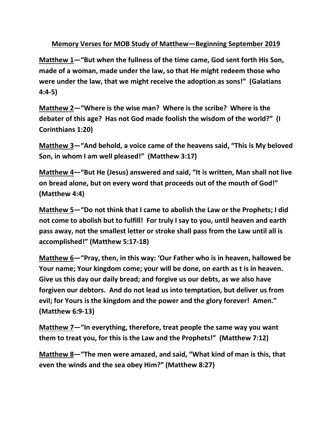**Memory Verses for MOB Study of Matthew—Beginning September 2019**

**Matthew 1—"But when the fullness of the time came, God sent forth His Son, made of a woman, made under the law, so that He might redeem those who were under the law, that we might receive the adoption as sons!" (Galatians 4:4-5)**

**Matthew 2—"Where is the wise man? Where is the scribe? Where is the debater of this age? Has not God made foolish the wisdom of the world?" (I Corinthians 1:20)**

**Matthew 3—"And behold, a voice came of the heavens said, "This is My beloved Son, in whom I am well pleased!" (Matthew 3:17)**

**Matthew 4—"But He (Jesus) answered and said, "It is written, Man shall not live on bread alone, but on every word that proceeds out of the mouth of God!" (Matthew 4:4)**

**Matthew 5—"Do not think that I came to abolish the Law or the Prophets; I did not come to abolish but to fulfill! For truly I say to you, until heaven and earth pass away, not the smallest letter or stroke shall pass from the Law until all is accomplished!" (Matthew 5:17-18)**

**Matthew 6—"Pray, then, in this way: 'Our Father who is in heaven, hallowed be Your name; Your kingdom come; your will be done, on earth as t is in heaven. Give us this day our daily bread; and forgive us our debts, as we also have forgiven our debtors. And do not lead us into temptation, but deliver us from evil; for Yours is the kingdom and the power and the glory forever! Amen." (Matthew 6:9-13)**

**Matthew 7—"In everything, therefore, treat people the same way you want them to treat you, for this is the Law and the Prophets!" (Matthew 7:12)**

**Matthew 8—"The men were amazed, and said, "What kind of man is this, that even the winds and the sea obey Him?" (Matthew 8:27)**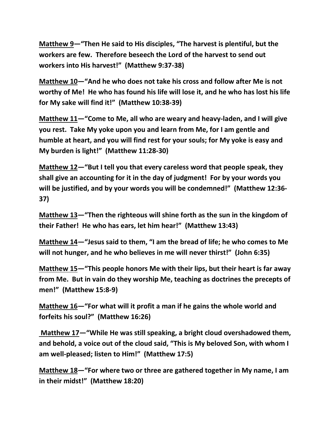**Matthew 9—"Then He said to His disciples, "The harvest is plentiful, but the workers are few. Therefore beseech the Lord of the harvest to send out workers into His harvest!" (Matthew 9:37-38)**

**Matthew 10—"And he who does not take his cross and follow after Me is not worthy of Me! He who has found his life will lose it, and he who has lost his life for My sake will find it!" (Matthew 10:38-39)**

**Matthew 11—"Come to Me, all who are weary and heavy-laden, and I will give you rest. Take My yoke upon you and learn from Me, for I am gentle and humble at heart, and you will find rest for your souls; for My yoke is easy and My burden is light!" (Matthew 11:28-30)**

**Matthew 12—"But I tell you that every careless word that people speak, they shall give an accounting for it in the day of judgment! For by your words you will be justified, and by your words you will be condemned!" (Matthew 12:36- 37)**

**Matthew 13—"Then the righteous will shine forth as the sun in the kingdom of their Father! He who has ears, let him hear!" (Matthew 13:43)**

**Matthew 14—"Jesus said to them, "I am the bread of life; he who comes to Me will not hunger, and he who believes in me will never thirst!" (John 6:35)**

**Matthew 15—"This people honors Me with their lips, but their heart is far away from Me. But in vain do they worship Me, teaching as doctrines the precepts of men!" (Matthew 15:8-9)**

**Matthew 16—"For what will it profit a man if he gains the whole world and forfeits his soul?" (Matthew 16:26)**

**Matthew 17—"While He was still speaking, a bright cloud overshadowed them, and behold, a voice out of the cloud said, "This is My beloved Son, with whom I am well-pleased; listen to Him!" (Matthew 17:5)**

**Matthew 18—"For where two or three are gathered together in My name, I am in their midst!" (Matthew 18:20)**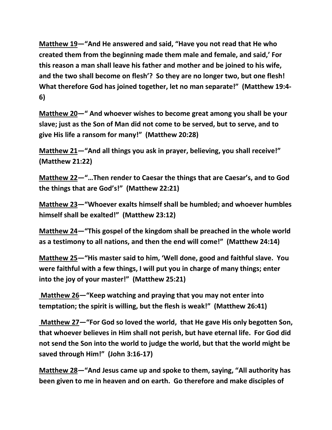**Matthew 19—"And He answered and said, "Have you not read that He who created them from the beginning made them male and female, and said,' For this reason a man shall leave his father and mother and be joined to his wife, and the two shall become on flesh'? So they are no longer two, but one flesh! What therefore God has joined together, let no man separate!" (Matthew 19:4- 6)**

**Matthew 20—" And whoever wishes to become great among you shall be your slave; just as the Son of Man did not come to be served, but to serve, and to give His life a ransom for many!" (Matthew 20:28)**

**Matthew 21—"And all things you ask in prayer, believing, you shall receive!" (Matthew 21:22)**

**Matthew 22—"…Then render to Caesar the things that are Caesar's, and to God the things that are God's!" (Matthew 22:21)**

**Matthew 23—"Whoever exalts himself shall be humbled; and whoever humbles himself shall be exalted!" (Matthew 23:12)**

**Matthew 24—"This gospel of the kingdom shall be preached in the whole world as a testimony to all nations, and then the end will come!" (Matthew 24:14)**

**Matthew 25—"His master said to him, 'Well done, good and faithful slave. You were faithful with a few things, I will put you in charge of many things; enter into the joy of your master!" (Matthew 25:21)**

**Matthew 26—"Keep watching and praying that you may not enter into temptation; the spirit is willing, but the flesh is weak!" (Matthew 26:41)**

**Matthew 27—"For God so loved the world, that He gave His only begotten Son, that whoever believes in Him shall not perish, but have eternal life. For God did not send the Son into the world to judge the world, but that the world might be saved through Him!" (John 3:16-17)**

**Matthew 28—"And Jesus came up and spoke to them, saying, "All authority has been given to me in heaven and on earth. Go therefore and make disciples of**